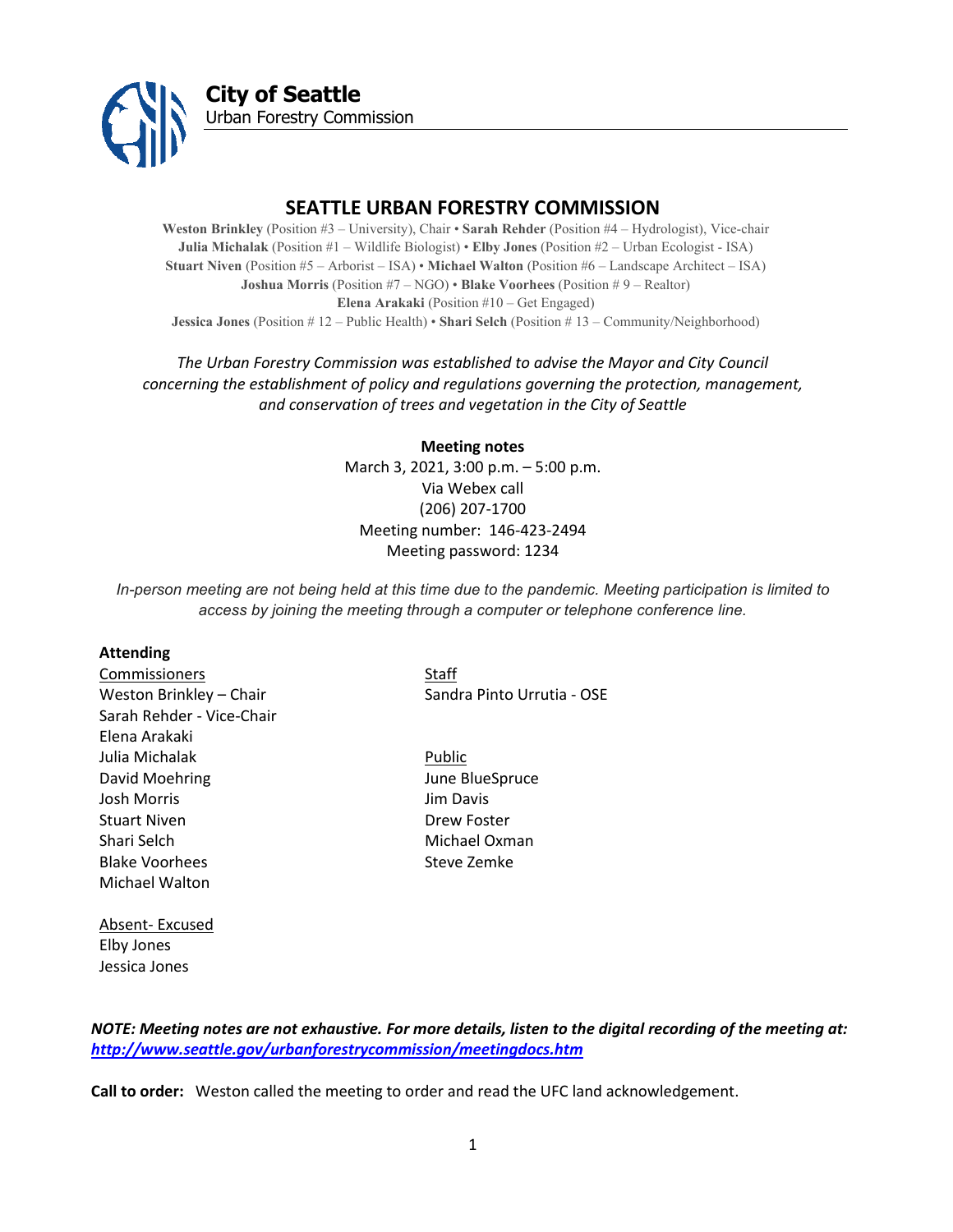

**City of Seattle** Urban Forestry Commission

# **SEATTLE URBAN FORESTRY COMMISSION**

**Weston Brinkley** (Position #3 – University), Chair • **Sarah Rehder** (Position #4 – Hydrologist), Vice-chair **Julia Michalak** (Position #1 – Wildlife Biologist) • **Elby Jones** (Position #2 – Urban Ecologist - ISA) **Stuart Niven** (Position #5 – Arborist – ISA) • **Michael Walton** (Position #6 – Landscape Architect – ISA) **Joshua Morris** (Position #7 – NGO) • **Blake Voorhees** (Position # 9 – Realtor) **Elena Arakaki** (Position #10 – Get Engaged) **Jessica Jones** (Position # 12 – Public Health) • **Shari Selch** (Position # 13 – Community/Neighborhood)

## *The Urban Forestry Commission was established to advise the Mayor and City Council concerning the establishment of policy and regulations governing the protection, management, and conservation of trees and vegetation in the City of Seattle*

**Meeting notes** March 3, 2021, 3:00 p.m. – 5:00 p.m. Via Webex call (206) 207-1700 Meeting number: 146-423-2494 Meeting password: 1234

*In-person meeting are not being held at this time due to the pandemic. Meeting participation is limited to access by joining the meeting through a computer or telephone conference line.*

### **Attending**

Commissioners Staff Sarah Rehder - Vice-Chair Elena Arakaki Julia Michalak Public David Moehring **David Moehring June BlueSpruce** Josh Morris Jim Davis Stuart Niven **Drew Foster** Drew Foster Shari Selch Michael Oxman Blake Voorhees Steve Zemke Michael Walton

Weston Brinkley – Chair Sandra Pinto Urrutia - OSE

## Absent- Excused Elby Jones Jessica Jones

*NOTE: Meeting notes are not exhaustive. For more details, listen to the digital recording of the meeting at: <http://www.seattle.gov/urbanforestrycommission/meetingdocs.htm>*

**Call to order:** Weston called the meeting to order and read the UFC land acknowledgement.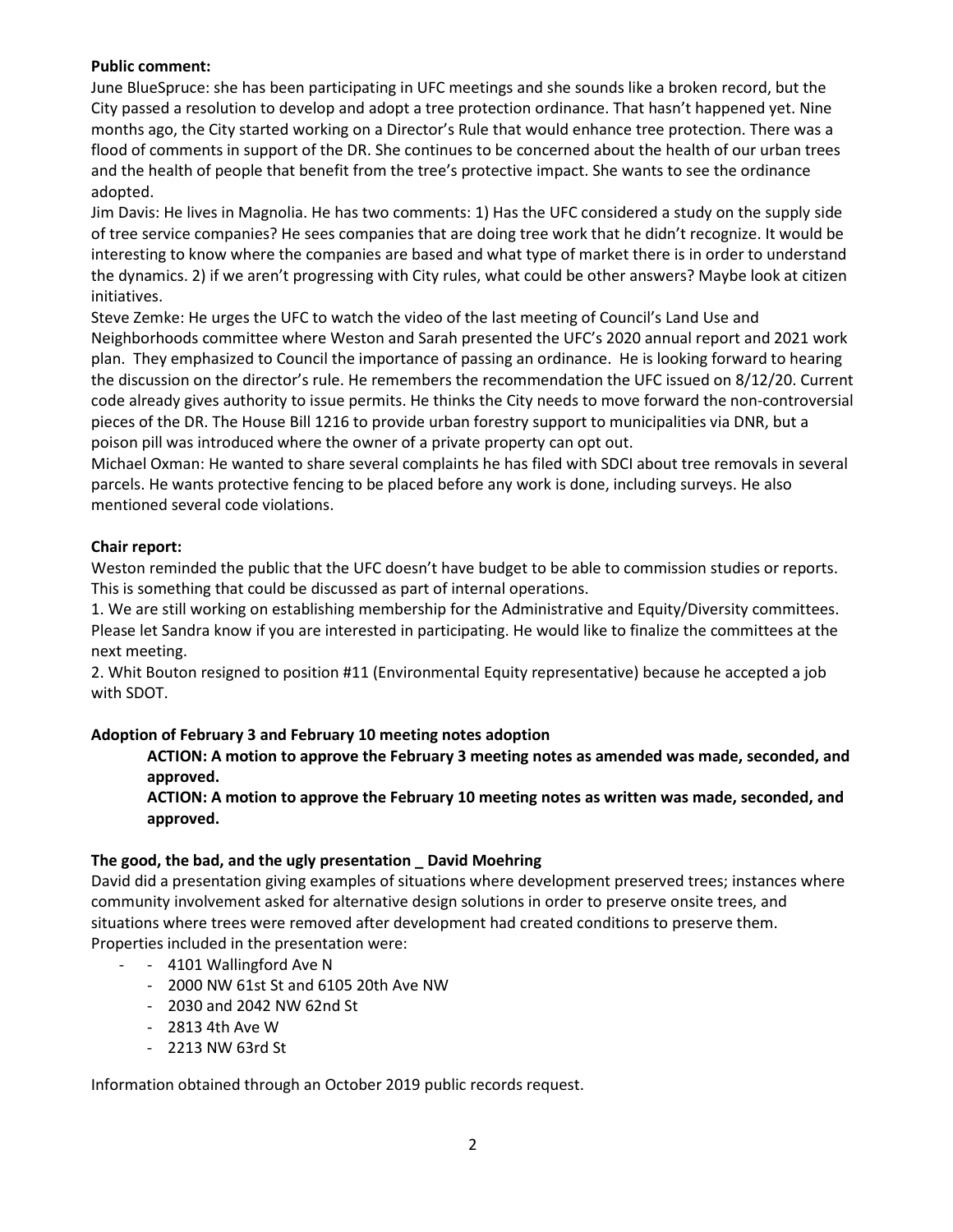## **Public comment:**

June BlueSpruce: she has been participating in UFC meetings and she sounds like a broken record, but the City passed a resolution to develop and adopt a tree protection ordinance. That hasn't happened yet. Nine months ago, the City started working on a Director's Rule that would enhance tree protection. There was a flood of comments in support of the DR. She continues to be concerned about the health of our urban trees and the health of people that benefit from the tree's protective impact. She wants to see the ordinance adopted.

Jim Davis: He lives in Magnolia. He has two comments: 1) Has the UFC considered a study on the supply side of tree service companies? He sees companies that are doing tree work that he didn't recognize. It would be interesting to know where the companies are based and what type of market there is in order to understand the dynamics. 2) if we aren't progressing with City rules, what could be other answers? Maybe look at citizen initiatives.

Steve Zemke: He urges the UFC to watch the video of the last meeting of Council's Land Use and Neighborhoods committee where Weston and Sarah presented the UFC's 2020 annual report and 2021 work plan. They emphasized to Council the importance of passing an ordinance. He is looking forward to hearing the discussion on the director's rule. He remembers the recommendation the UFC issued on 8/12/20. Current code already gives authority to issue permits. He thinks the City needs to move forward the non-controversial pieces of the DR. The House Bill 1216 to provide urban forestry support to municipalities via DNR, but a poison pill was introduced where the owner of a private property can opt out.

Michael Oxman: He wanted to share several complaints he has filed with SDCI about tree removals in several parcels. He wants protective fencing to be placed before any work is done, including surveys. He also mentioned several code violations.

## **Chair report:**

Weston reminded the public that the UFC doesn't have budget to be able to commission studies or reports. This is something that could be discussed as part of internal operations.

1. We are still working on establishing membership for the Administrative and Equity/Diversity committees. Please let Sandra know if you are interested in participating. He would like to finalize the committees at the next meeting.

2. Whit Bouton resigned to position #11 (Environmental Equity representative) because he accepted a job with SDOT.

## **Adoption of February 3 and February 10 meeting notes adoption**

**ACTION: A motion to approve the February 3 meeting notes as amended was made, seconded, and approved.** 

**ACTION: A motion to approve the February 10 meeting notes as written was made, seconded, and approved.** 

### **The good, the bad, and the ugly presentation \_ David Moehring**

David did a presentation giving examples of situations where development preserved trees; instances where community involvement asked for alternative design solutions in order to preserve onsite trees, and situations where trees were removed after development had created conditions to preserve them. Properties included in the presentation were:

- - 4101 Wallingford Ave N
	- 2000 NW 61st St and 6105 20th Ave NW
	- 2030 and 2042 NW 62nd St
	- 2813 4th Ave W
	- 2213 NW 63rd St

Information obtained through an October 2019 public records request.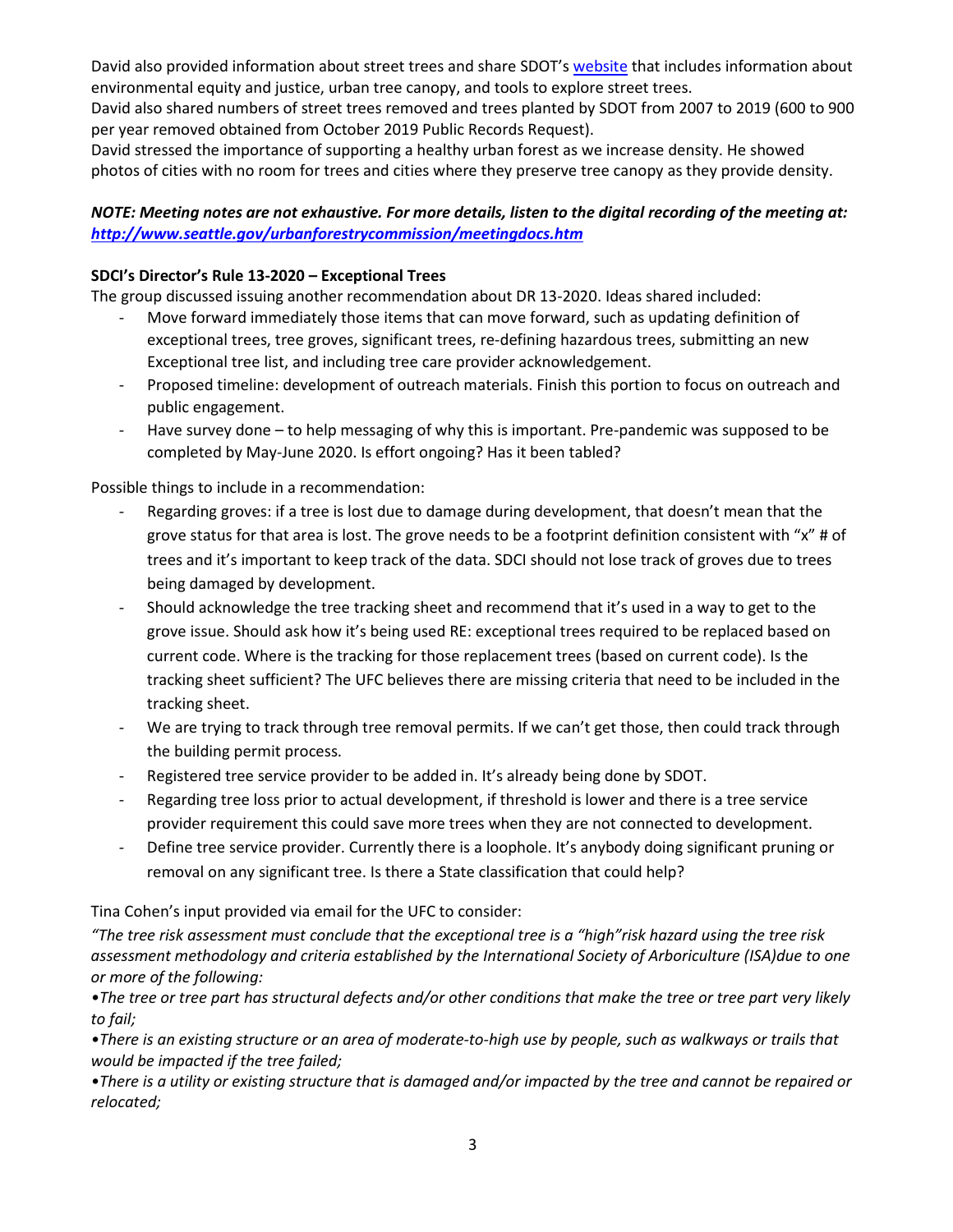David also provided information about street trees and share SDOT's [website](https://seattlecitygis.maps.arcgis.com/apps/MapSeries/index.html?appid=a7072ffa326c4ef39a0f031961ebace6) that includes information about environmental equity and justice, urban tree canopy, and tools to explore street trees.

David also shared numbers of street trees removed and trees planted by SDOT from 2007 to 2019 (600 to 900 per year removed obtained from October 2019 Public Records Request).

David stressed the importance of supporting a healthy urban forest as we increase density. He showed photos of cities with no room for trees and cities where they preserve tree canopy as they provide density.

## *NOTE: Meeting notes are not exhaustive. For more details, listen to the digital recording of the meeting at: <http://www.seattle.gov/urbanforestrycommission/meetingdocs.htm>*

## **SDCI's Director's Rule 13-2020 – Exceptional Trees**

The group discussed issuing another recommendation about DR 13-2020. Ideas shared included:

- Move forward immediately those items that can move forward, such as updating definition of exceptional trees, tree groves, significant trees, re-defining hazardous trees, submitting an new Exceptional tree list, and including tree care provider acknowledgement.
- Proposed timeline: development of outreach materials. Finish this portion to focus on outreach and public engagement.
- Have survey done to help messaging of why this is important. Pre-pandemic was supposed to be completed by May-June 2020. Is effort ongoing? Has it been tabled?

Possible things to include in a recommendation:

- Regarding groves: if a tree is lost due to damage during development, that doesn't mean that the grove status for that area is lost. The grove needs to be a footprint definition consistent with "x" # of trees and it's important to keep track of the data. SDCI should not lose track of groves due to trees being damaged by development.
- Should acknowledge the tree tracking sheet and recommend that it's used in a way to get to the grove issue. Should ask how it's being used RE: exceptional trees required to be replaced based on current code. Where is the tracking for those replacement trees (based on current code). Is the tracking sheet sufficient? The UFC believes there are missing criteria that need to be included in the tracking sheet.
- We are trying to track through tree removal permits. If we can't get those, then could track through the building permit process.
- Registered tree service provider to be added in. It's already being done by SDOT.
- Regarding tree loss prior to actual development, if threshold is lower and there is a tree service provider requirement this could save more trees when they are not connected to development.
- Define tree service provider. Currently there is a loophole. It's anybody doing significant pruning or removal on any significant tree. Is there a State classification that could help?

Tina Cohen's input provided via email for the UFC to consider:

*"The tree risk assessment must conclude that the exceptional tree is a "high"risk hazard using the tree risk assessment methodology and criteria established by the International Society of Arboriculture (ISA)due to one or more of the following:*

*•The tree or tree part has structural defects and/or other conditions that make the tree or tree part very likely to fail;*

*•There is an existing structure or an area of moderate-to-high use by people, such as walkways or trails that would be impacted if the tree failed;*

*•There is a utility or existing structure that is damaged and/or impacted by the tree and cannot be repaired or relocated;*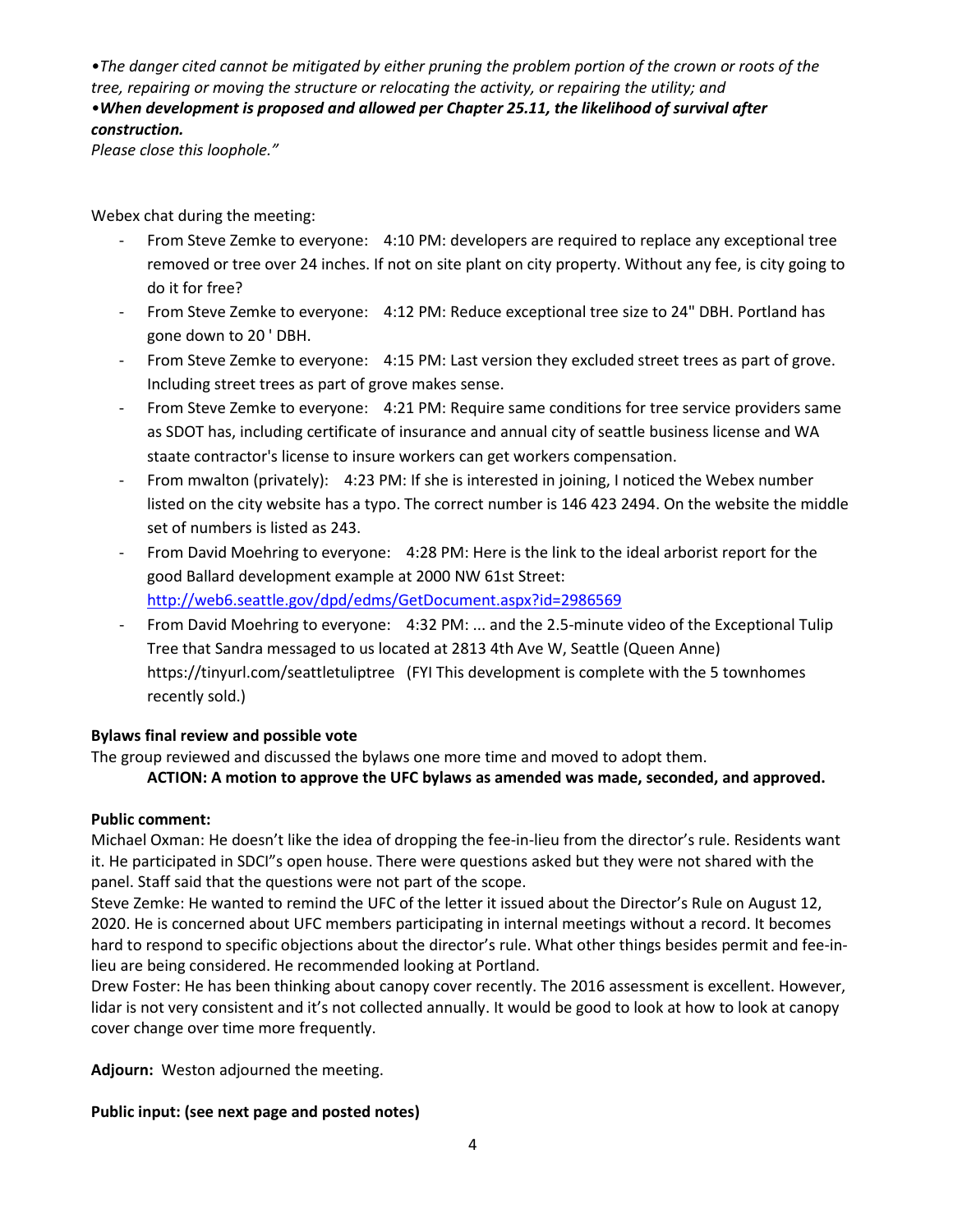*•The danger cited cannot be mitigated by either pruning the problem portion of the crown or roots of the tree, repairing or moving the structure or relocating the activity, or repairing the utility; and* •*When development is proposed and allowed per Chapter 25.11, the likelihood of survival after construction.*

*Please close this loophole."*

Webex chat during the meeting:

- From Steve Zemke to everyone: 4:10 PM: developers are required to replace any exceptional tree removed or tree over 24 inches. If not on site plant on city property. Without any fee, is city going to do it for free?
- From Steve Zemke to everyone: 4:12 PM: Reduce exceptional tree size to 24" DBH. Portland has gone down to 20 ' DBH.
- From Steve Zemke to everyone: 4:15 PM: Last version they excluded street trees as part of grove. Including street trees as part of grove makes sense.
- From Steve Zemke to everyone: 4:21 PM: Require same conditions for tree service providers same as SDOT has, including certificate of insurance and annual city of seattle business license and WA staate contractor's license to insure workers can get workers compensation.
- From mwalton (privately): 4:23 PM: If she is interested in joining, I noticed the Webex number listed on the city website has a typo. The correct number is 146 423 2494. On the website the middle set of numbers is listed as 243.
- From David Moehring to everyone: 4:28 PM: Here is the link to the ideal arborist report for the good Ballard development example at 2000 NW 61st Street: <http://web6.seattle.gov/dpd/edms/GetDocument.aspx?id=2986569>
- From David Moehring to everyone: 4:32 PM: ... and the 2.5-minute video of the Exceptional Tulip Tree that Sandra messaged to us located at 2813 4th Ave W, Seattle (Queen Anne) https://tinyurl.com/seattletuliptree (FYI This development is complete with the 5 townhomes recently sold.)

## **Bylaws final review and possible vote**

The group reviewed and discussed the bylaws one more time and moved to adopt them.

### **ACTION: A motion to approve the UFC bylaws as amended was made, seconded, and approved.**

### **Public comment:**

Michael Oxman: He doesn't like the idea of dropping the fee-in-lieu from the director's rule. Residents want it. He participated in SDCI"s open house. There were questions asked but they were not shared with the panel. Staff said that the questions were not part of the scope.

Steve Zemke: He wanted to remind the UFC of the letter it issued about the Director's Rule on August 12, 2020. He is concerned about UFC members participating in internal meetings without a record. It becomes hard to respond to specific objections about the director's rule. What other things besides permit and fee-inlieu are being considered. He recommended looking at Portland.

Drew Foster: He has been thinking about canopy cover recently. The 2016 assessment is excellent. However, lidar is not very consistent and it's not collected annually. It would be good to look at how to look at canopy cover change over time more frequently.

**Adjourn:** Weston adjourned the meeting.

### **Public input: (see next page and posted notes)**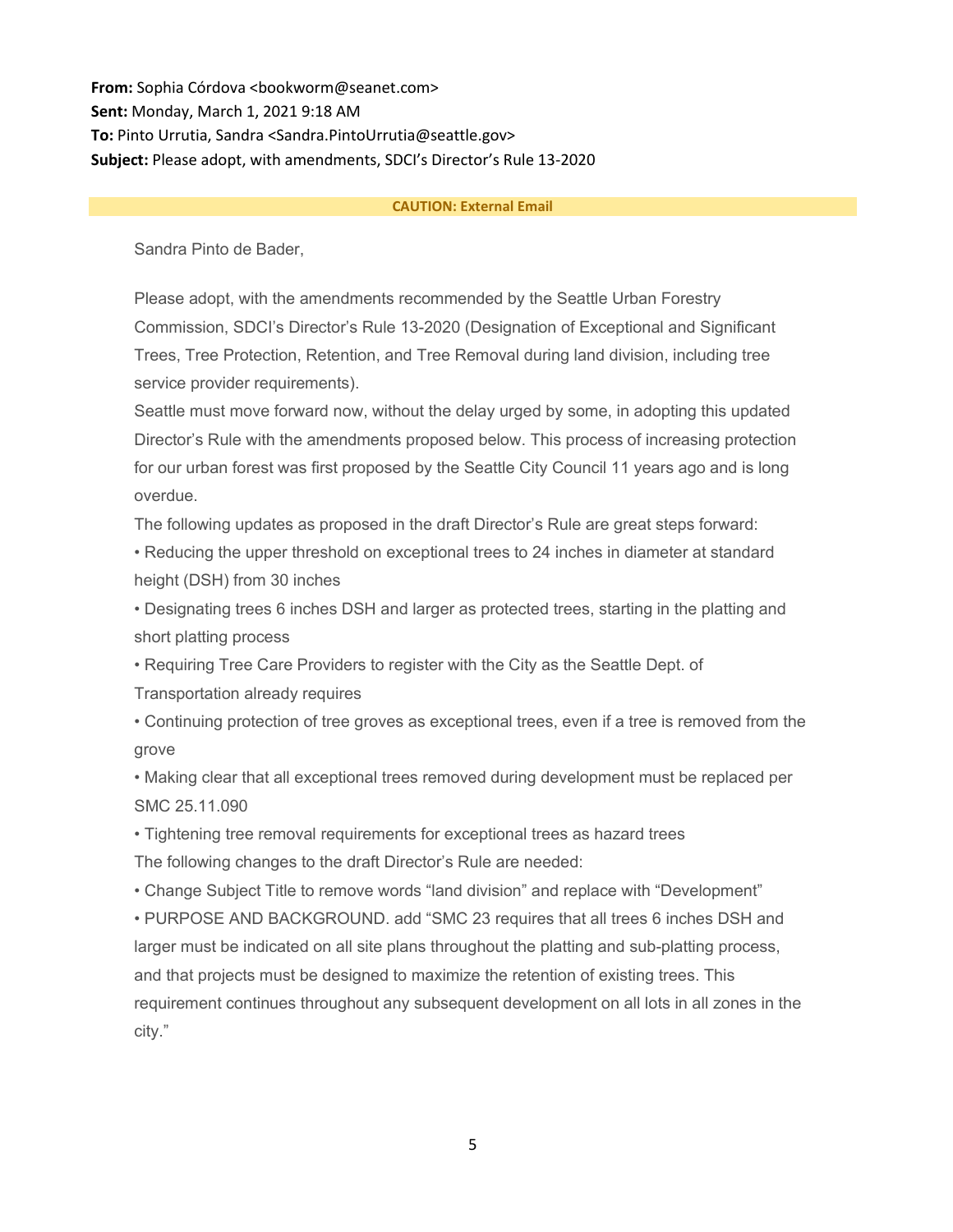**From:** Sophia Córdova <br/>bookworm@seanet.com> **Sent:** Monday, March 1, 2021 9:18 AM **To:** Pinto Urrutia, Sandra <Sandra.PintoUrrutia@seattle.gov> **Subject:** Please adopt, with amendments, SDCI's Director's Rule 13-2020

#### **CAUTION: External Email**

Sandra Pinto de Bader,

Please adopt, with the amendments recommended by the Seattle Urban Forestry Commission, SDCI's Director's Rule 13-2020 (Designation of Exceptional and Significant Trees, Tree Protection, Retention, and Tree Removal during land division, including tree service provider requirements).

Seattle must move forward now, without the delay urged by some, in adopting this updated Director's Rule with the amendments proposed below. This process of increasing protection for our urban forest was first proposed by the Seattle City Council 11 years ago and is long overdue.

The following updates as proposed in the draft Director's Rule are great steps forward:

• Reducing the upper threshold on exceptional trees to 24 inches in diameter at standard height (DSH) from 30 inches

• Designating trees 6 inches DSH and larger as protected trees, starting in the platting and short platting process

• Requiring Tree Care Providers to register with the City as the Seattle Dept. of

Transportation already requires

• Continuing protection of tree groves as exceptional trees, even if a tree is removed from the grove

• Making clear that all exceptional trees removed during development must be replaced per SMC 25.11.090

• Tightening tree removal requirements for exceptional trees as hazard trees The following changes to the draft Director's Rule are needed:

• Change Subject Title to remove words "land division" and replace with "Development"

• PURPOSE AND BACKGROUND. add "SMC 23 requires that all trees 6 inches DSH and larger must be indicated on all site plans throughout the platting and sub-platting process, and that projects must be designed to maximize the retention of existing trees. This requirement continues throughout any subsequent development on all lots in all zones in the city."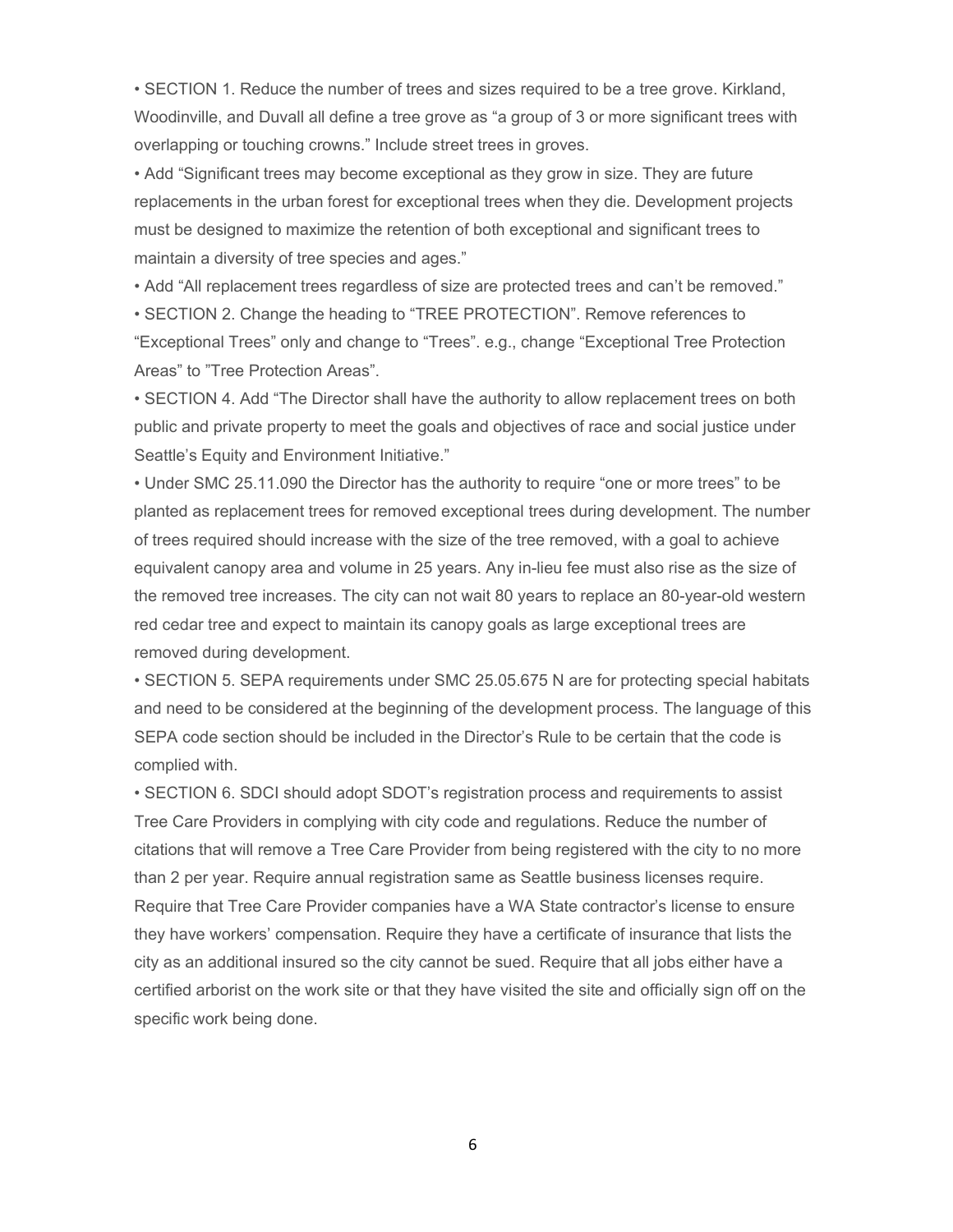• SECTION 1. Reduce the number of trees and sizes required to be a tree grove. Kirkland, Woodinville, and Duvall all define a tree grove as "a group of 3 or more significant trees with overlapping or touching crowns." Include street trees in groves.

• Add "Significant trees may become exceptional as they grow in size. They are future replacements in the urban forest for exceptional trees when they die. Development projects must be designed to maximize the retention of both exceptional and significant trees to maintain a diversity of tree species and ages."

• Add "All replacement trees regardless of size are protected trees and can't be removed."

• SECTION 2. Change the heading to "TREE PROTECTION". Remove references to "Exceptional Trees" only and change to "Trees". e.g., change "Exceptional Tree Protection Areas" to "Tree Protection Areas".

• SECTION 4. Add "The Director shall have the authority to allow replacement trees on both public and private property to meet the goals and objectives of race and social justice under Seattle's Equity and Environment Initiative."

• Under SMC 25.11.090 the Director has the authority to require "one or more trees" to be planted as replacement trees for removed exceptional trees during development. The number of trees required should increase with the size of the tree removed, with a goal to achieve equivalent canopy area and volume in 25 years. Any in-lieu fee must also rise as the size of the removed tree increases. The city can not wait 80 years to replace an 80-year-old western red cedar tree and expect to maintain its canopy goals as large exceptional trees are removed during development.

• SECTION 5. SEPA requirements under SMC 25.05.675 N are for protecting special habitats and need to be considered at the beginning of the development process. The language of this SEPA code section should be included in the Director's Rule to be certain that the code is complied with.

• SECTION 6. SDCI should adopt SDOT's registration process and requirements to assist Tree Care Providers in complying with city code and regulations. Reduce the number of citations that will remove a Tree Care Provider from being registered with the city to no more than 2 per year. Require annual registration same as Seattle business licenses require. Require that Tree Care Provider companies have a WA State contractor's license to ensure they have workers' compensation. Require they have a certificate of insurance that lists the city as an additional insured so the city cannot be sued. Require that all jobs either have a certified arborist on the work site or that they have visited the site and officially sign off on the specific work being done.

6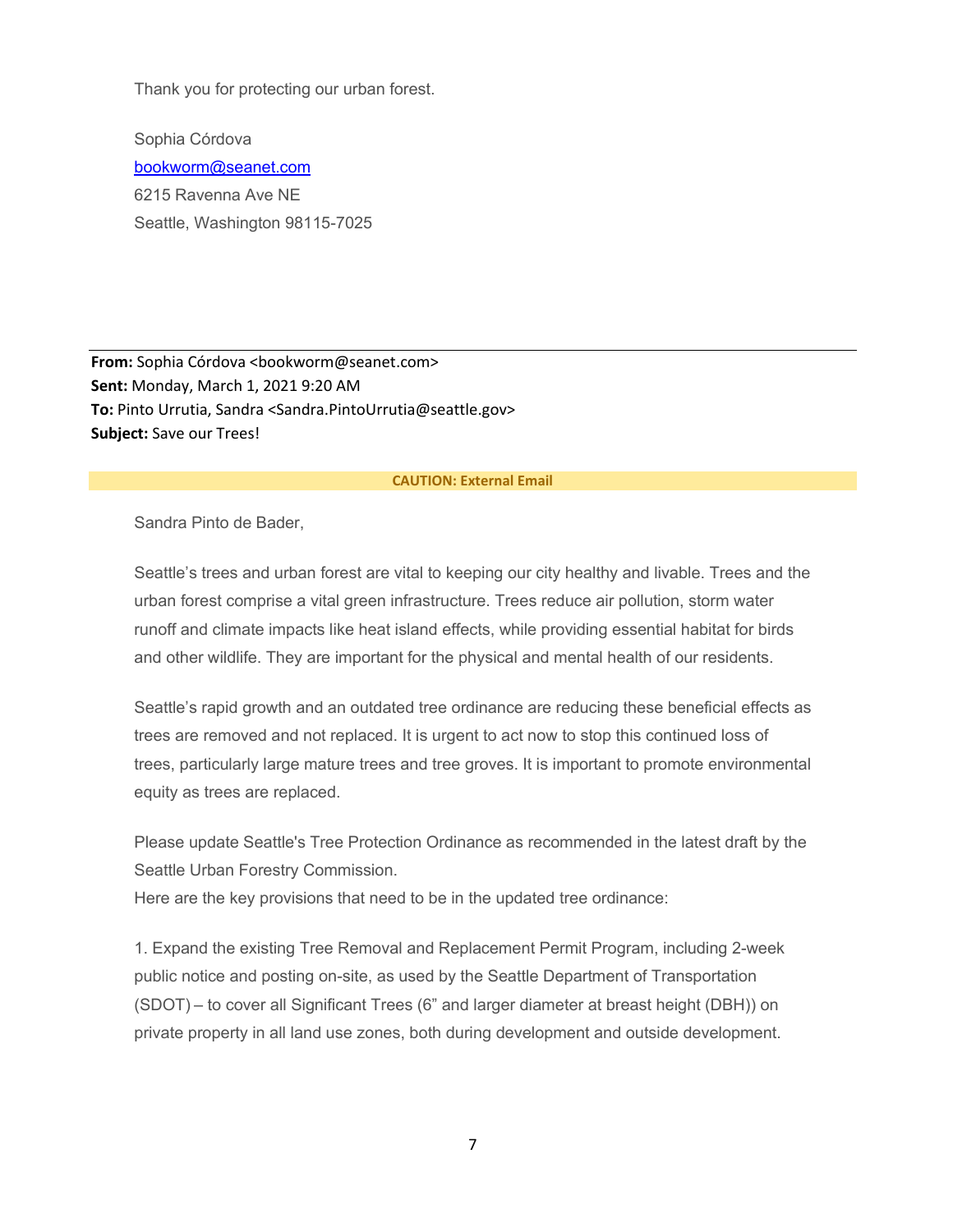Thank you for protecting our urban forest.

Sophia Córdova [bookworm@seanet.com](mailto:bookworm@seanet.com) 6215 Ravenna Ave NE Seattle, Washington 98115-7025

**From:** Sophia Córdova <br/>bookworm@seanet.com> **Sent:** Monday, March 1, 2021 9:20 AM **To:** Pinto Urrutia, Sandra <Sandra.PintoUrrutia@seattle.gov> **Subject:** Save our Trees!

#### **CAUTION: External Email**

Sandra Pinto de Bader,

Seattle's trees and urban forest are vital to keeping our city healthy and livable. Trees and the urban forest comprise a vital green infrastructure. Trees reduce air pollution, storm water runoff and climate impacts like heat island effects, while providing essential habitat for birds and other wildlife. They are important for the physical and mental health of our residents.

Seattle's rapid growth and an outdated tree ordinance are reducing these beneficial effects as trees are removed and not replaced. It is urgent to act now to stop this continued loss of trees, particularly large mature trees and tree groves. It is important to promote environmental equity as trees are replaced.

Please update Seattle's Tree Protection Ordinance as recommended in the latest draft by the Seattle Urban Forestry Commission.

Here are the key provisions that need to be in the updated tree ordinance:

1. Expand the existing Tree Removal and Replacement Permit Program, including 2-week public notice and posting on-site, as used by the Seattle Department of Transportation (SDOT) – to cover all Significant Trees (6" and larger diameter at breast height (DBH)) on private property in all land use zones, both during development and outside development.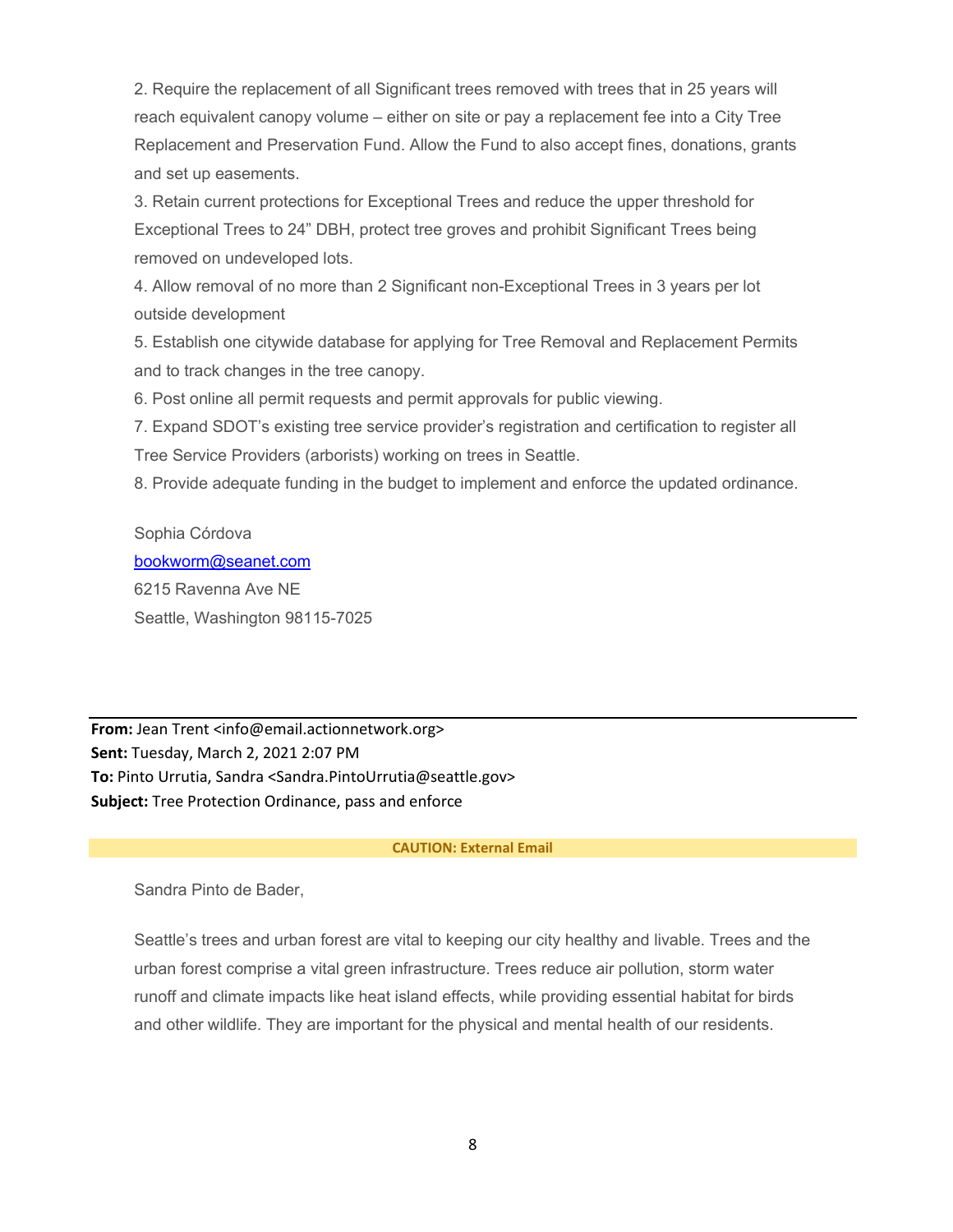2. Require the replacement of all Significant trees removed with trees that in 25 years will reach equivalent canopy volume – either on site or pay a replacement fee into a City Tree Replacement and Preservation Fund. Allow the Fund to also accept fines, donations, grants and set up easements.

3. Retain current protections for Exceptional Trees and reduce the upper threshold for Exceptional Trees to 24" DBH, protect tree groves and prohibit Significant Trees being removed on undeveloped lots.

4. Allow removal of no more than 2 Significant non-Exceptional Trees in 3 years per lot outside development

5. Establish one citywide database for applying for Tree Removal and Replacement Permits and to track changes in the tree canopy.

6. Post online all permit requests and permit approvals for public viewing.

7. Expand SDOT's existing tree service provider's registration and certification to register all Tree Service Providers (arborists) working on trees in Seattle.

8. Provide adequate funding in the budget to implement and enforce the updated ordinance.

Sophia Córdova

[bookworm@seanet.com](mailto:bookworm@seanet.com) 6215 Ravenna Ave NE Seattle, Washington 98115-7025

**From:** Jean Trent <info@email.actionnetwork.org> **Sent:** Tuesday, March 2, 2021 2:07 PM **To:** Pinto Urrutia, Sandra <Sandra.PintoUrrutia@seattle.gov> **Subject:** Tree Protection Ordinance, pass and enforce

#### **CAUTION: External Email**

Sandra Pinto de Bader,

Seattle's trees and urban forest are vital to keeping our city healthy and livable. Trees and the urban forest comprise a vital green infrastructure. Trees reduce air pollution, storm water runoff and climate impacts like heat island effects, while providing essential habitat for birds and other wildlife. They are important for the physical and mental health of our residents.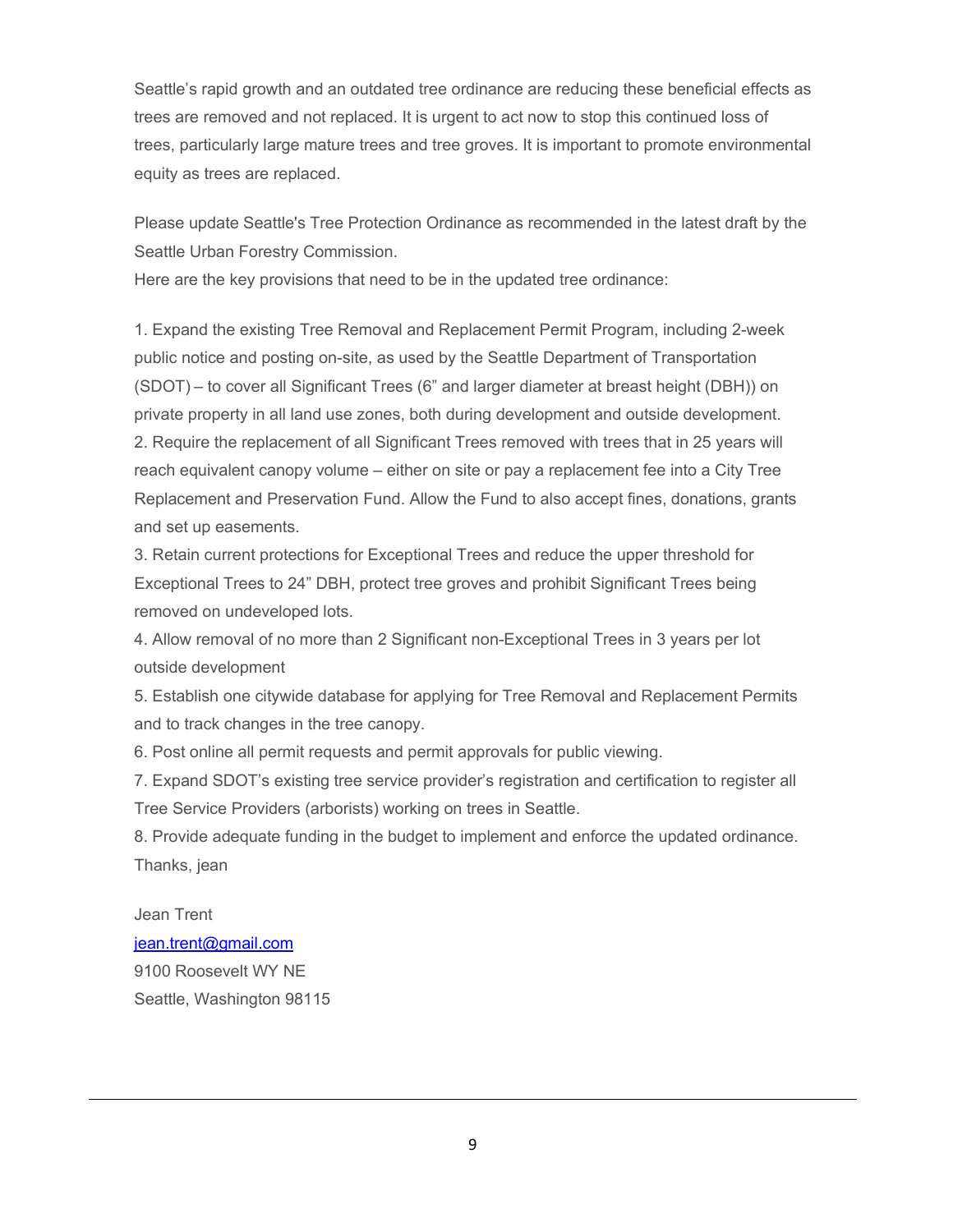Seattle's rapid growth and an outdated tree ordinance are reducing these beneficial effects as trees are removed and not replaced. It is urgent to act now to stop this continued loss of trees, particularly large mature trees and tree groves. It is important to promote environmental equity as trees are replaced.

Please update Seattle's Tree Protection Ordinance as recommended in the latest draft by the Seattle Urban Forestry Commission.

Here are the key provisions that need to be in the updated tree ordinance:

1. Expand the existing Tree Removal and Replacement Permit Program, including 2-week public notice and posting on-site, as used by the Seattle Department of Transportation (SDOT) – to cover all Significant Trees (6" and larger diameter at breast height (DBH)) on private property in all land use zones, both during development and outside development. 2. Require the replacement of all Significant Trees removed with trees that in 25 years will reach equivalent canopy volume – either on site or pay a replacement fee into a City Tree Replacement and Preservation Fund. Allow the Fund to also accept fines, donations, grants and set up easements.

3. Retain current protections for Exceptional Trees and reduce the upper threshold for Exceptional Trees to 24" DBH, protect tree groves and prohibit Significant Trees being removed on undeveloped lots.

4. Allow removal of no more than 2 Significant non-Exceptional Trees in 3 years per lot outside development

5. Establish one citywide database for applying for Tree Removal and Replacement Permits and to track changes in the tree canopy.

6. Post online all permit requests and permit approvals for public viewing.

7. Expand SDOT's existing tree service provider's registration and certification to register all Tree Service Providers (arborists) working on trees in Seattle.

8. Provide adequate funding in the budget to implement and enforce the updated ordinance. Thanks, jean

Jean Trent [jean.trent@gmail.com](mailto:jean.trent@gmail.com)

9100 Roosevelt WY NE Seattle, Washington 98115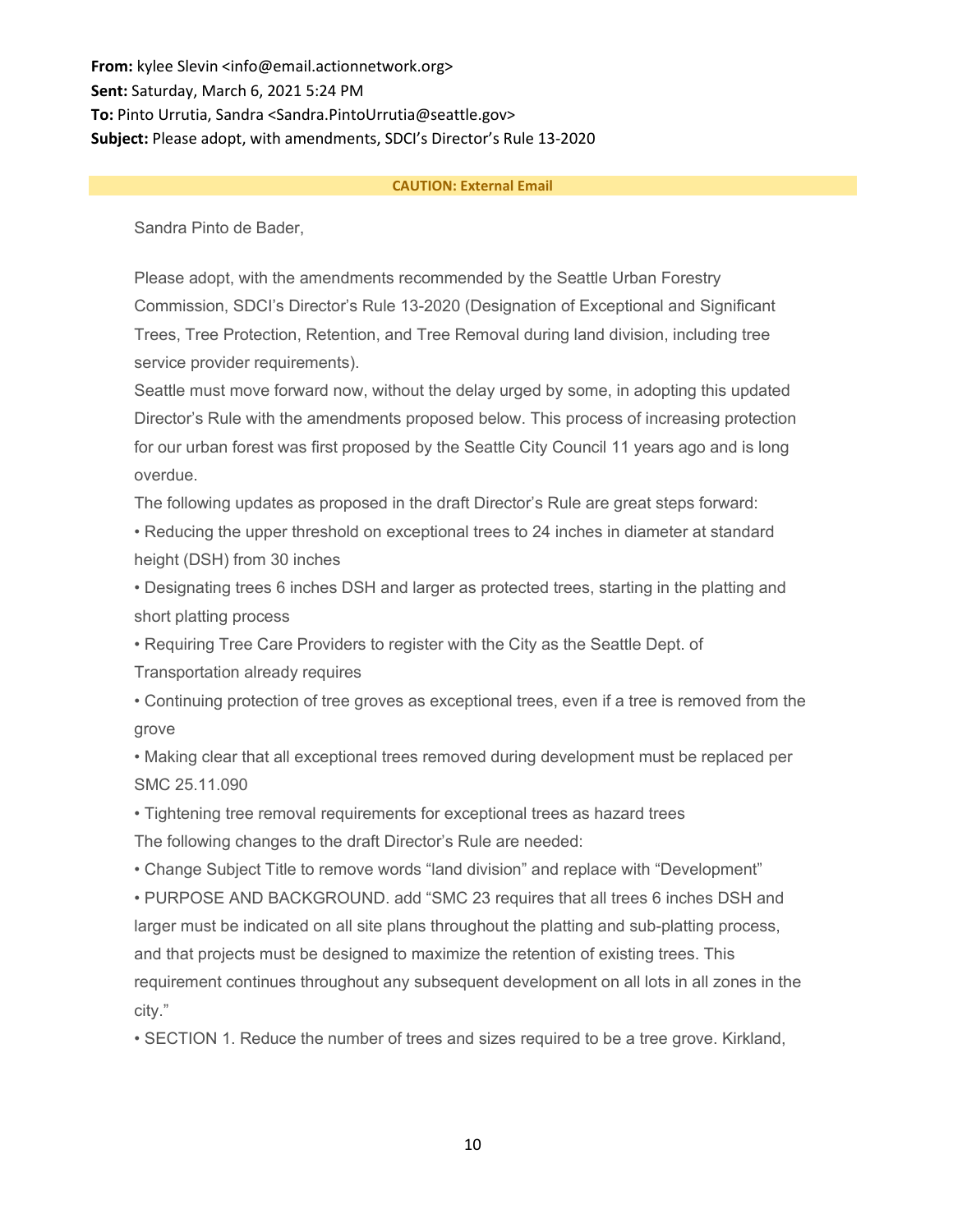**From:** kylee Slevin <info@email.actionnetwork.org> **Sent:** Saturday, March 6, 2021 5:24 PM **To:** Pinto Urrutia, Sandra <Sandra.PintoUrrutia@seattle.gov> **Subject:** Please adopt, with amendments, SDCI's Director's Rule 13-2020

#### **CAUTION: External Email**

Sandra Pinto de Bader,

Please adopt, with the amendments recommended by the Seattle Urban Forestry Commission, SDCI's Director's Rule 13-2020 (Designation of Exceptional and Significant Trees, Tree Protection, Retention, and Tree Removal during land division, including tree service provider requirements).

Seattle must move forward now, without the delay urged by some, in adopting this updated Director's Rule with the amendments proposed below. This process of increasing protection for our urban forest was first proposed by the Seattle City Council 11 years ago and is long overdue.

The following updates as proposed in the draft Director's Rule are great steps forward:

• Reducing the upper threshold on exceptional trees to 24 inches in diameter at standard height (DSH) from 30 inches

• Designating trees 6 inches DSH and larger as protected trees, starting in the platting and short platting process

• Requiring Tree Care Providers to register with the City as the Seattle Dept. of

Transportation already requires

• Continuing protection of tree groves as exceptional trees, even if a tree is removed from the grove

• Making clear that all exceptional trees removed during development must be replaced per SMC 25.11.090

• Tightening tree removal requirements for exceptional trees as hazard trees The following changes to the draft Director's Rule are needed:

• Change Subject Title to remove words "land division" and replace with "Development"

• PURPOSE AND BACKGROUND. add "SMC 23 requires that all trees 6 inches DSH and larger must be indicated on all site plans throughout the platting and sub-platting process, and that projects must be designed to maximize the retention of existing trees. This requirement continues throughout any subsequent development on all lots in all zones in the city."

• SECTION 1. Reduce the number of trees and sizes required to be a tree grove. Kirkland,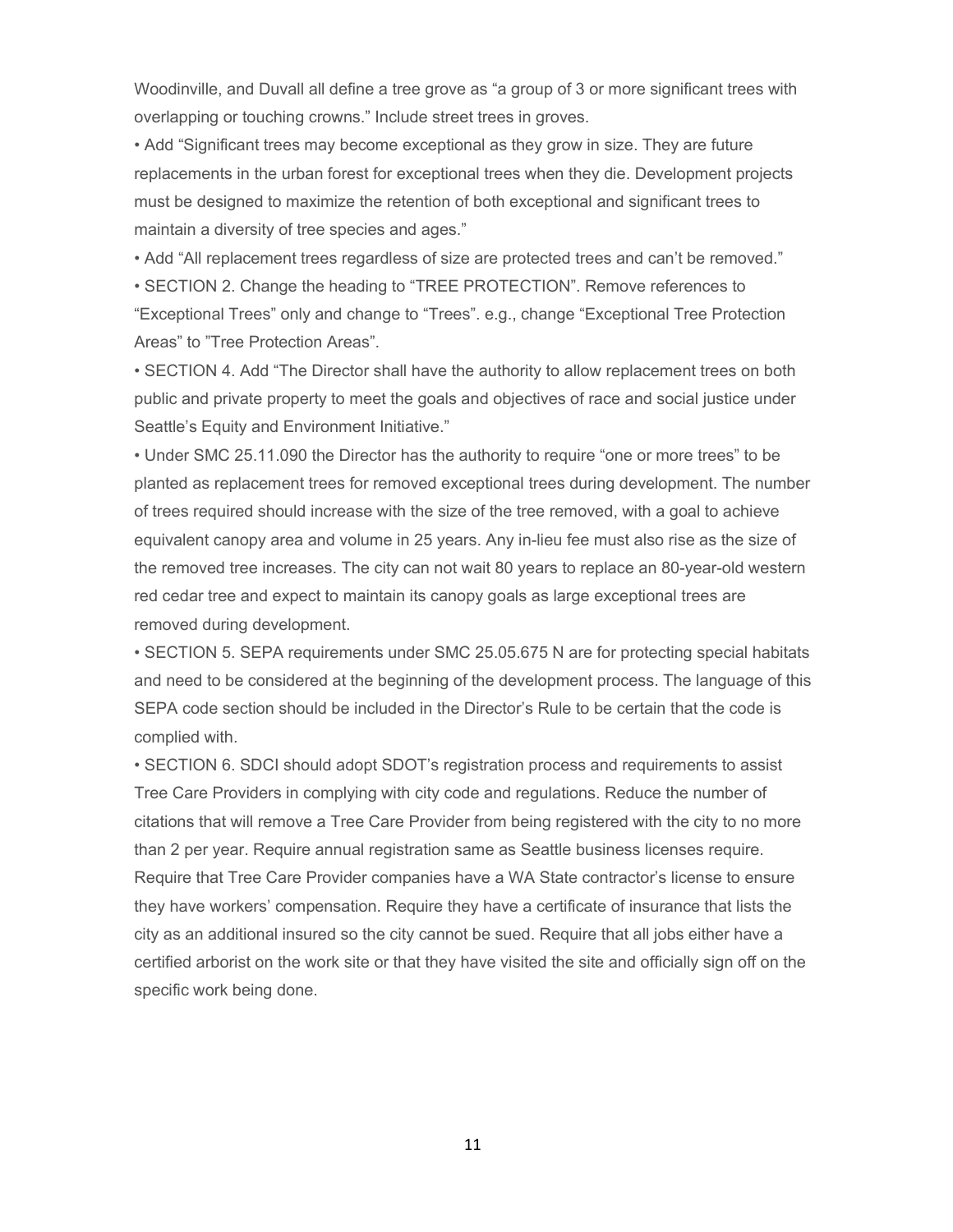Woodinville, and Duvall all define a tree grove as "a group of 3 or more significant trees with overlapping or touching crowns." Include street trees in groves.

• Add "Significant trees may become exceptional as they grow in size. They are future replacements in the urban forest for exceptional trees when they die. Development projects must be designed to maximize the retention of both exceptional and significant trees to maintain a diversity of tree species and ages."

• Add "All replacement trees regardless of size are protected trees and can't be removed."

• SECTION 2. Change the heading to "TREE PROTECTION". Remove references to "Exceptional Trees" only and change to "Trees". e.g., change "Exceptional Tree Protection Areas" to "Tree Protection Areas".

• SECTION 4. Add "The Director shall have the authority to allow replacement trees on both public and private property to meet the goals and objectives of race and social justice under Seattle's Equity and Environment Initiative."

• Under SMC 25.11.090 the Director has the authority to require "one or more trees" to be planted as replacement trees for removed exceptional trees during development. The number of trees required should increase with the size of the tree removed, with a goal to achieve equivalent canopy area and volume in 25 years. Any in-lieu fee must also rise as the size of the removed tree increases. The city can not wait 80 years to replace an 80-year-old western red cedar tree and expect to maintain its canopy goals as large exceptional trees are removed during development.

• SECTION 5. SEPA requirements under SMC 25.05.675 N are for protecting special habitats and need to be considered at the beginning of the development process. The language of this SEPA code section should be included in the Director's Rule to be certain that the code is complied with.

• SECTION 6. SDCI should adopt SDOT's registration process and requirements to assist Tree Care Providers in complying with city code and regulations. Reduce the number of citations that will remove a Tree Care Provider from being registered with the city to no more than 2 per year. Require annual registration same as Seattle business licenses require. Require that Tree Care Provider companies have a WA State contractor's license to ensure they have workers' compensation. Require they have a certificate of insurance that lists the city as an additional insured so the city cannot be sued. Require that all jobs either have a certified arborist on the work site or that they have visited the site and officially sign off on the specific work being done.

11